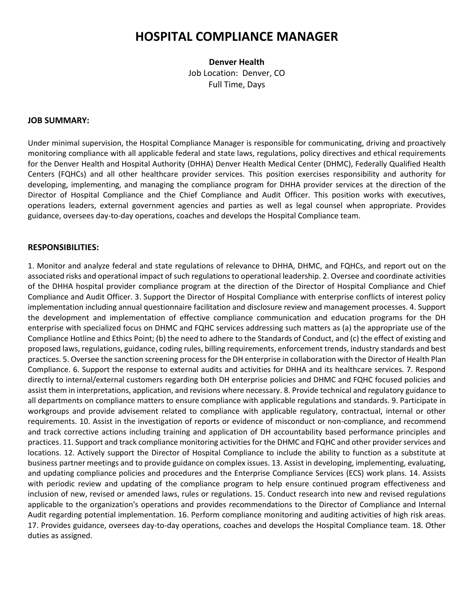# **HOSPITAL COMPLIANCE MANAGER**

**Denver Health** Job Location: Denver, CO Full Time, Days

#### **JOB SUMMARY:**

Under minimal supervision, the Hospital Compliance Manager is responsible for communicating, driving and proactively monitoring compliance with all applicable federal and state laws, regulations, policy directives and ethical requirements for the Denver Health and Hospital Authority (DHHA) Denver Health Medical Center (DHMC), Federally Qualified Health Centers (FQHCs) and all other healthcare provider services. This position exercises responsibility and authority for developing, implementing, and managing the compliance program for DHHA provider services at the direction of the Director of Hospital Compliance and the Chief Compliance and Audit Officer. This position works with executives, operations leaders, external government agencies and parties as well as legal counsel when appropriate. Provides guidance, oversees day-to-day operations, coaches and develops the Hospital Compliance team.

#### **RESPONSIBILITIES:**

1. Monitor and analyze federal and state regulations of relevance to DHHA, DHMC, and FQHCs, and report out on the associated risks and operational impact of such regulations to operational leadership. 2. Oversee and coordinate activities of the DHHA hospital provider compliance program at the direction of the Director of Hospital Compliance and Chief Compliance and Audit Officer. 3. Support the Director of Hospital Compliance with enterprise conflicts of interest policy implementation including annual questionnaire facilitation and disclosure review and management processes. 4. Support the development and implementation of effective compliance communication and education programs for the DH enterprise with specialized focus on DHMC and FQHC services addressing such matters as (a) the appropriate use of the Compliance Hotline and Ethics Point; (b) the need to adhere to the Standards of Conduct, and (c) the effect of existing and proposed laws, regulations, guidance, coding rules, billing requirements, enforcement trends, industry standards and best practices. 5. Oversee the sanction screening process for the DH enterprise in collaboration with the Director of Health Plan Compliance. 6. Support the response to external audits and activities for DHHA and its healthcare services. 7. Respond directly to internal/external customers regarding both DH enterprise policies and DHMC and FQHC focused policies and assist them in interpretations, application, and revisions where necessary. 8. Provide technical and regulatory guidance to all departments on compliance matters to ensure compliance with applicable regulations and standards. 9. Participate in workgroups and provide advisement related to compliance with applicable regulatory, contractual, internal or other requirements. 10. Assist in the investigation of reports or evidence of misconduct or non-compliance, and recommend and track corrective actions including training and application of DH accountability based performance principles and practices. 11. Support and track compliance monitoring activities for the DHMC and FQHC and other provider services and locations. 12. Actively support the Director of Hospital Compliance to include the ability to function as a substitute at business partner meetings and to provide guidance on complex issues. 13. Assist in developing, implementing, evaluating, and updating compliance policies and procedures and the Enterprise Compliance Services (ECS) work plans. 14. Assists with periodic review and updating of the compliance program to help ensure continued program effectiveness and inclusion of new, revised or amended laws, rules or regulations. 15. Conduct research into new and revised regulations applicable to the organization's operations and provides recommendations to the Director of Compliance and Internal Audit regarding potential implementation. 16. Perform compliance monitoring and auditing activities of high risk areas. 17. Provides guidance, oversees day-to-day operations, coaches and develops the Hospital Compliance team. 18. Other duties as assigned.